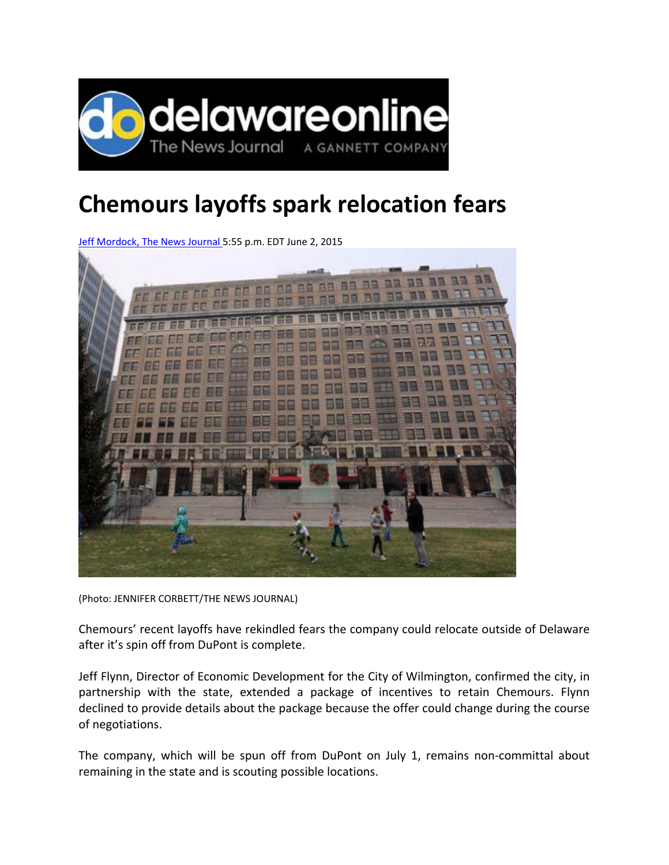

## **Chemours layoffs spark relocation fears**

Jeff Mordock, The News Journal 5:55 p.m. EDT June 2, 2015



(Photo: JENNIFER CORBETT/THE NEWS JOURNAL)

Chemours' recent layoffs have rekindled fears the company could relocate outside of Delaware after it's spin off from DuPont is complete.

Jeff Flynn, Director of Economic Development for the City of Wilmington, confirmed the city, in partnership with the state, extended a package of incentives to retain Chemours. Flynn declined to provide details about the package because the offer could change during the course of negotiations.

The company, which will be spun off from DuPont on July 1, remains non‐committal about remaining in the state and is scouting possible locations.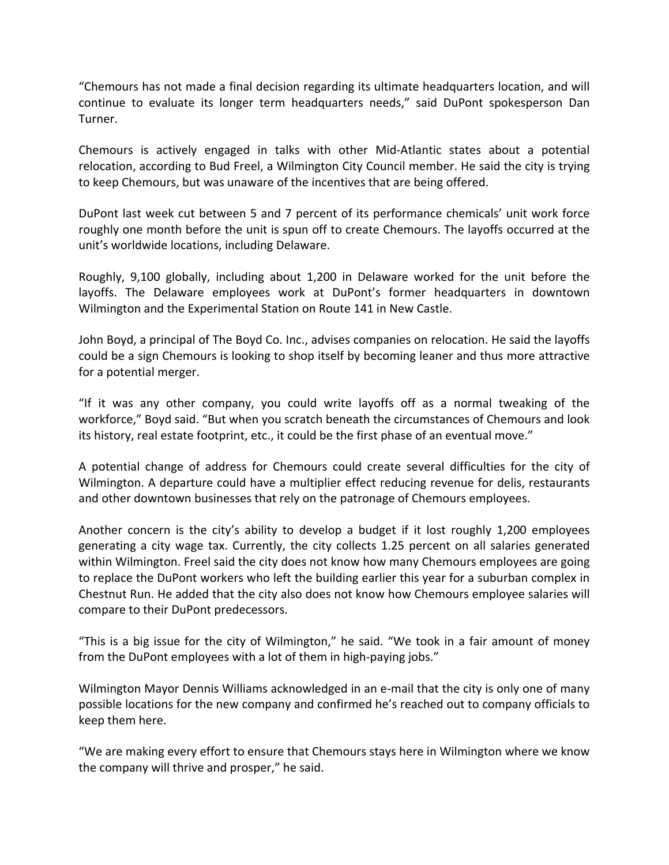"Chemours has not made a final decision regarding its ultimate headquarters location, and will continue to evaluate its longer term headquarters needs," said DuPont spokesperson Dan Turner.

Chemours is actively engaged in talks with other Mid‐Atlantic states about a potential relocation, according to Bud Freel, a Wilmington City Council member. He said the city is trying to keep Chemours, but was unaware of the incentives that are being offered.

DuPont last week cut between 5 and 7 percent of its performance chemicals' unit work force roughly one month before the unit is spun off to create Chemours. The layoffs occurred at the unit's worldwide locations, including Delaware.

Roughly, 9,100 globally, including about 1,200 in Delaware worked for the unit before the layoffs. The Delaware employees work at DuPont's former headquarters in downtown Wilmington and the Experimental Station on Route 141 in New Castle.

John Boyd, a principal of The Boyd Co. Inc., advises companies on relocation. He said the layoffs could be a sign Chemours is looking to shop itself by becoming leaner and thus more attractive for a potential merger.

"If it was any other company, you could write layoffs off as a normal tweaking of the workforce," Boyd said. "But when you scratch beneath the circumstances of Chemours and look its history, real estate footprint, etc., it could be the first phase of an eventual move."

A potential change of address for Chemours could create several difficulties for the city of Wilmington. A departure could have a multiplier effect reducing revenue for delis, restaurants and other downtown businesses that rely on the patronage of Chemours employees.

Another concern is the city's ability to develop a budget if it lost roughly 1,200 employees generating a city wage tax. Currently, the city collects 1.25 percent on all salaries generated within Wilmington. Freel said the city does not know how many Chemours employees are going to replace the DuPont workers who left the building earlier this year for a suburban complex in Chestnut Run. He added that the city also does not know how Chemours employee salaries will compare to their DuPont predecessors.

"This is a big issue for the city of Wilmington," he said. "We took in a fair amount of money from the DuPont employees with a lot of them in high-paying jobs."

Wilmington Mayor Dennis Williams acknowledged in an e-mail that the city is only one of many possible locations for the new company and confirmed he's reached out to company officials to keep them here.

"We are making every effort to ensure that Chemours stays here in Wilmington where we know the company will thrive and prosper," he said.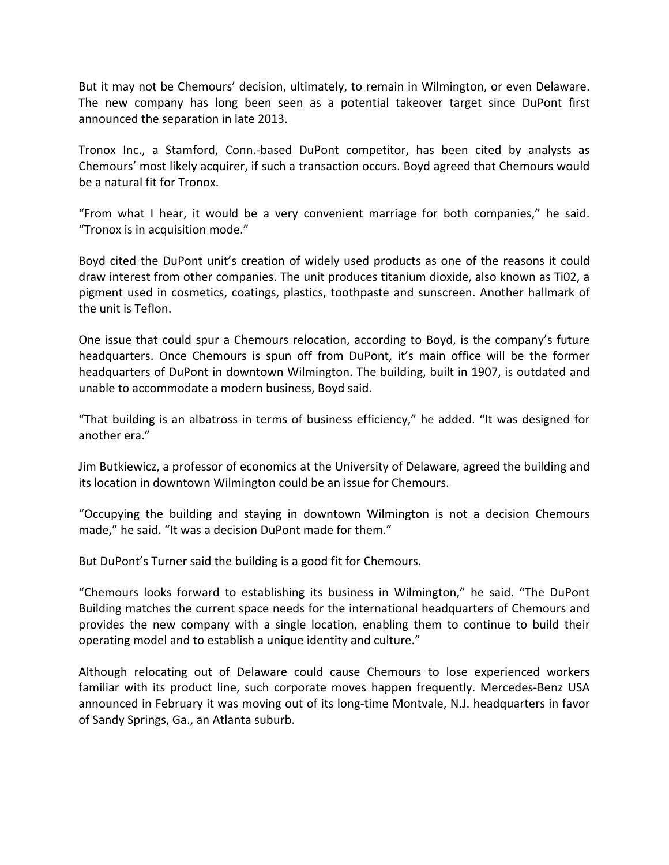But it may not be Chemours' decision, ultimately, to remain in Wilmington, or even Delaware. The new company has long been seen as a potential takeover target since DuPont first announced the separation in late 2013.

Tronox Inc., a Stamford, Conn.‐based DuPont competitor, has been cited by analysts as Chemours' most likely acquirer, if such a transaction occurs. Boyd agreed that Chemours would be a natural fit for Tronox.

"From what I hear, it would be a very convenient marriage for both companies," he said. "Tronox is in acquisition mode."

Boyd cited the DuPont unit's creation of widely used products as one of the reasons it could draw interest from other companies. The unit produces titanium dioxide, also known as Ti02, a pigment used in cosmetics, coatings, plastics, toothpaste and sunscreen. Another hallmark of the unit is Teflon.

One issue that could spur a Chemours relocation, according to Boyd, is the company's future headquarters. Once Chemours is spun off from DuPont, it's main office will be the former headquarters of DuPont in downtown Wilmington. The building, built in 1907, is outdated and unable to accommodate a modern business, Boyd said.

"That building is an albatross in terms of business efficiency," he added. "It was designed for another era."

Jim Butkiewicz, a professor of economics at the University of Delaware, agreed the building and its location in downtown Wilmington could be an issue for Chemours.

"Occupying the building and staying in downtown Wilmington is not a decision Chemours made," he said. "It was a decision DuPont made for them."

But DuPont's Turner said the building is a good fit for Chemours.

"Chemours looks forward to establishing its business in Wilmington," he said. "The DuPont Building matches the current space needs for the international headquarters of Chemours and provides the new company with a single location, enabling them to continue to build their operating model and to establish a unique identity and culture."

Although relocating out of Delaware could cause Chemours to lose experienced workers familiar with its product line, such corporate moves happen frequently. Mercedes-Benz USA announced in February it was moving out of its long-time Montvale, N.J. headquarters in favor of Sandy Springs, Ga., an Atlanta suburb.